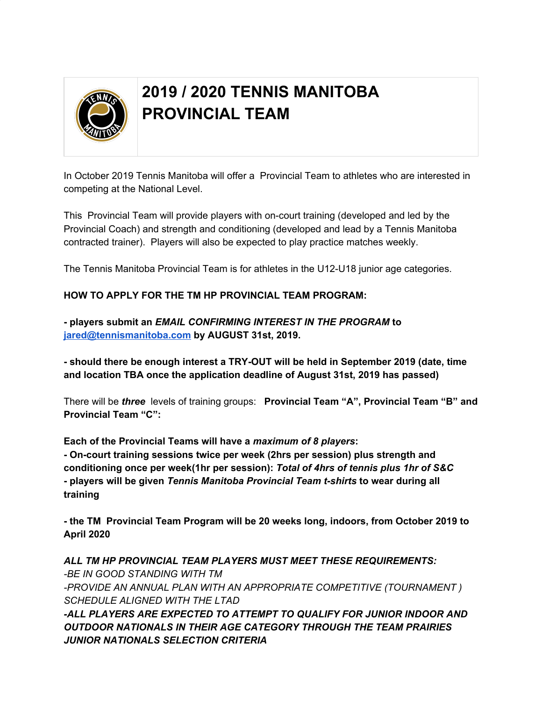

## **2019 / 2020 TENNIS MANITOBA PROVINCIAL TEAM**

In October 2019 Tennis Manitoba will offer a Provincial Team to athletes who are interested in competing at the National Level.

This Provincial Team will provide players with on-court training (developed and led by the Provincial Coach) and strength and conditioning (developed and lead by a Tennis Manitoba contracted trainer). Players will also be expected to play practice matches weekly.

The Tennis Manitoba Provincial Team is for athletes in the U12-U18 junior age categories.

## **HOW TO APPLY FOR THE TM HP PROVINCIAL TEAM PROGRAM:**

**- players submit an** *EMAIL CONFIRMING INTEREST IN THE PROGRAM* **to [jared@tennismanitoba.com](mailto:jared@tennismanitoba.com) by AUGUST 31st, 2019.**

**- should there be enough interest a TRY-OUT will be held in September 2019 (date, time and location TBA once the application deadline of August 31st, 2019 has passed)**

There will be *three* levels of training groups: **Provincial Team "A", Provincial Team "B" and Provincial Team "C":**

**Each of the Provincial Teams will have a** *maximum of 8 players***:**

**- On-court training sessions twice per week (2hrs per session) plus strength and conditioning once per week(1hr per session):** *Total of 4hrs of tennis plus 1hr of S&C* **- players will be given** *Tennis Manitoba Provincial Team t-shirts* **to wear during all training**

**- the TM Provincial Team Program will be 20 weeks long, indoors, from October 2019 to April 2020**

*ALL TM HP PROVINCIAL TEAM PLAYERS MUST MEET THESE REQUIREMENTS: -BE IN GOOD STANDING WITH TM -PROVIDE AN ANNUAL PLAN WITH AN APPROPRIATE COMPETITIVE (TOURNAMENT ) SCHEDULE ALIGNED WITH THE LTAD -ALL PLAYERS ARE EXPECTED TO ATTEMPT TO QUALIFY FOR JUNIOR INDOOR AND OUTDOOR NATIONALS IN THEIR AGE CATEGORY THROUGH THE TEAM PRAIRIES JUNIOR NATIONALS SELECTION CRITERIA*